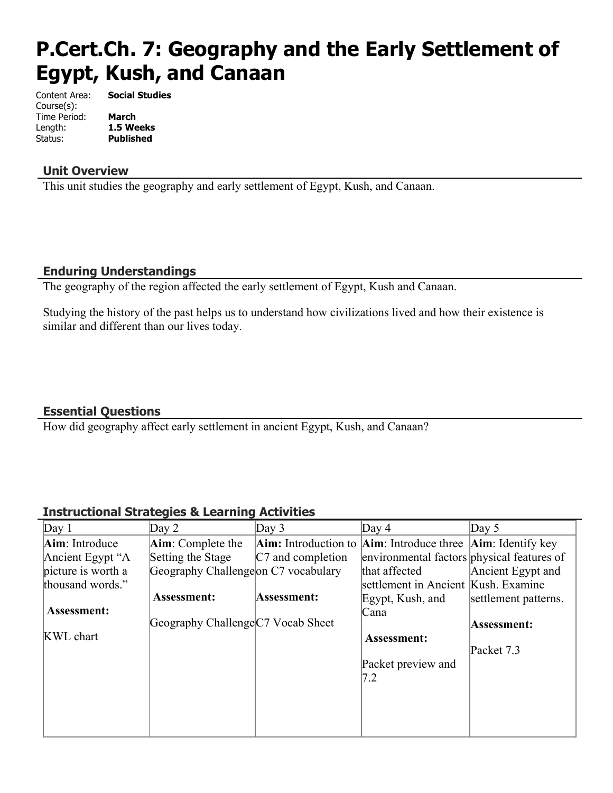# **P.Cert.Ch. 7: Geography and the Early Settlement of Egypt, Kush, and Canaan**

Content Area: **Social Studies** Course(s): Time Period: **March** Length: **1.5 Weeks** Status: **Published**

#### **Unit Overview**

This unit studies the geography and early settlement of Egypt, Kush, and Canaan.

#### **Enduring Understandings**

The geography of the region affected the early settlement of Egypt, Kush and Canaan.

Studying the history of the past helps us to understand how civilizations lived and how their existence is similar and different than our lives today.

#### **Essential Questions**

How did geography affect early settlement in ancient Egypt, Kush, and Canaan?

#### **Instructional Strategies & Learning Activities**

| Day 1              | Day $2$                             | Day $3$              | Day $4$                                                                            | Day $5$              |
|--------------------|-------------------------------------|----------------------|------------------------------------------------------------------------------------|----------------------|
| Aim: Introduce     | Aim: Complete the                   |                      | <b>Aim:</b> Introduction to <b>Aim</b> : Introduce three <b>Aim</b> : Identify key |                      |
| Ancient Egypt "A   | Setting the Stage                   | $ C7$ and completion | environmental factors physical features of                                         |                      |
| picture is worth a | Geography Challengeon C7 vocabulary |                      | that affected                                                                      | Ancient Egypt and    |
| thousand words."   |                                     |                      | settlement in Ancient Kush. Examine                                                |                      |
|                    | <b>Assessment:</b>                  | Assessment:          | Egypt, Kush, and                                                                   | settlement patterns. |
| Assessment:        |                                     |                      | Cana                                                                               |                      |
|                    | Geography Challenge C7 Vocab Sheet  |                      |                                                                                    | Assessment:          |
| <b>KWL</b> chart   |                                     |                      | Assessment:                                                                        |                      |
|                    |                                     |                      |                                                                                    | Packet 7.3           |
|                    |                                     |                      | Packet preview and                                                                 |                      |
|                    |                                     |                      | 7.2                                                                                |                      |
|                    |                                     |                      |                                                                                    |                      |
|                    |                                     |                      |                                                                                    |                      |
|                    |                                     |                      |                                                                                    |                      |
|                    |                                     |                      |                                                                                    |                      |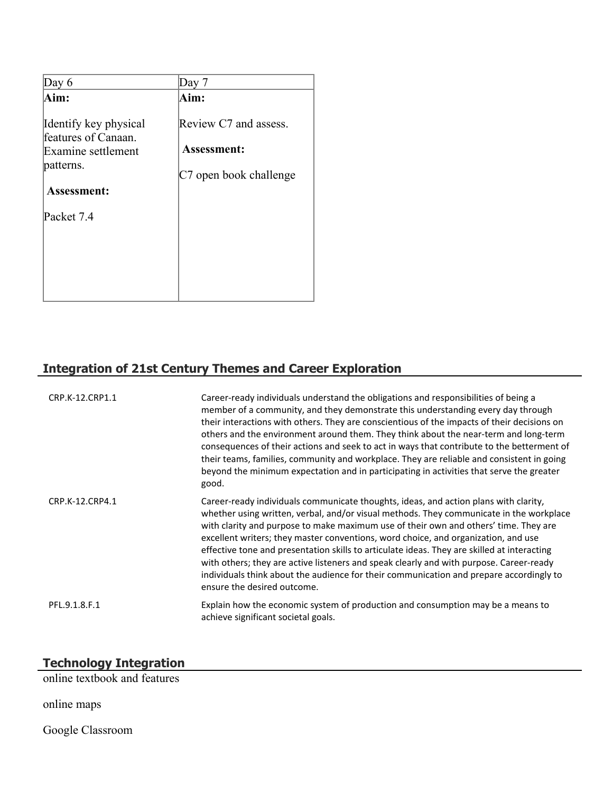| Day 6                                                                                                 | Day 7                                                                 |
|-------------------------------------------------------------------------------------------------------|-----------------------------------------------------------------------|
| Aim:                                                                                                  | Aim:                                                                  |
| Identify key physical<br>features of Canaan.<br>Examine settlement<br>patterns.<br><b>Assessment:</b> | Review C7 and assess.<br><b>Assessment:</b><br>C7 open book challenge |
| Packet 7.4                                                                                            |                                                                       |
|                                                                                                       |                                                                       |
|                                                                                                       |                                                                       |

# **Integration of 21st Century Themes and Career Exploration**

| CRP.K-12.CRP1.1 | Career-ready individuals understand the obligations and responsibilities of being a<br>member of a community, and they demonstrate this understanding every day through<br>their interactions with others. They are conscientious of the impacts of their decisions on<br>others and the environment around them. They think about the near-term and long-term<br>consequences of their actions and seek to act in ways that contribute to the betterment of<br>their teams, families, community and workplace. They are reliable and consistent in going<br>beyond the minimum expectation and in participating in activities that serve the greater<br>good.                    |
|-----------------|-----------------------------------------------------------------------------------------------------------------------------------------------------------------------------------------------------------------------------------------------------------------------------------------------------------------------------------------------------------------------------------------------------------------------------------------------------------------------------------------------------------------------------------------------------------------------------------------------------------------------------------------------------------------------------------|
| CRP.K-12.CRP4.1 | Career-ready individuals communicate thoughts, ideas, and action plans with clarity,<br>whether using written, verbal, and/or visual methods. They communicate in the workplace<br>with clarity and purpose to make maximum use of their own and others' time. They are<br>excellent writers; they master conventions, word choice, and organization, and use<br>effective tone and presentation skills to articulate ideas. They are skilled at interacting<br>with others; they are active listeners and speak clearly and with purpose. Career-ready<br>individuals think about the audience for their communication and prepare accordingly to<br>ensure the desired outcome. |
| PFL.9.1.8.F.1   | Explain how the economic system of production and consumption may be a means to<br>achieve significant societal goals.                                                                                                                                                                                                                                                                                                                                                                                                                                                                                                                                                            |

#### **Technology Integration**

online textbook and features

online maps

Google Classroom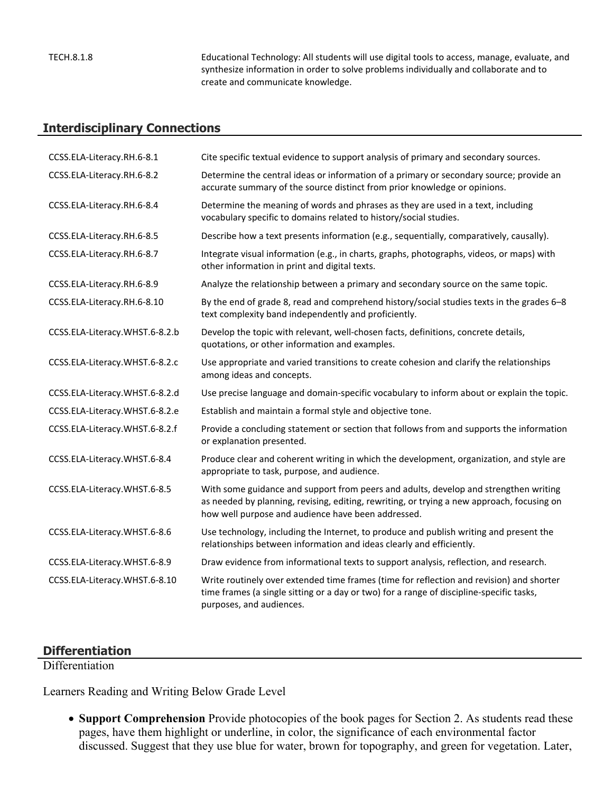TECH.8.1.8 Educational Technology: All students will use digital tools to access, manage, evaluate, and synthesize information in order to solve problems individually and collaborate and to create and communicate knowledge.

#### **Interdisciplinary Connections**

| CCSS.ELA-Literacy.RH.6-8.1     | Cite specific textual evidence to support analysis of primary and secondary sources.                                                                                                                                                     |
|--------------------------------|------------------------------------------------------------------------------------------------------------------------------------------------------------------------------------------------------------------------------------------|
| CCSS.ELA-Literacy.RH.6-8.2     | Determine the central ideas or information of a primary or secondary source; provide an<br>accurate summary of the source distinct from prior knowledge or opinions.                                                                     |
| CCSS.ELA-Literacy.RH.6-8.4     | Determine the meaning of words and phrases as they are used in a text, including<br>vocabulary specific to domains related to history/social studies.                                                                                    |
| CCSS.ELA-Literacy.RH.6-8.5     | Describe how a text presents information (e.g., sequentially, comparatively, causally).                                                                                                                                                  |
| CCSS.ELA-Literacy.RH.6-8.7     | Integrate visual information (e.g., in charts, graphs, photographs, videos, or maps) with<br>other information in print and digital texts.                                                                                               |
| CCSS.ELA-Literacy.RH.6-8.9     | Analyze the relationship between a primary and secondary source on the same topic.                                                                                                                                                       |
| CCSS.ELA-Literacy.RH.6-8.10    | By the end of grade 8, read and comprehend history/social studies texts in the grades 6-8<br>text complexity band independently and proficiently.                                                                                        |
| CCSS.ELA-Literacy.WHST.6-8.2.b | Develop the topic with relevant, well-chosen facts, definitions, concrete details,<br>quotations, or other information and examples.                                                                                                     |
| CCSS.ELA-Literacy.WHST.6-8.2.c | Use appropriate and varied transitions to create cohesion and clarify the relationships<br>among ideas and concepts.                                                                                                                     |
| CCSS.ELA-Literacy.WHST.6-8.2.d | Use precise language and domain-specific vocabulary to inform about or explain the topic.                                                                                                                                                |
| CCSS.ELA-Literacy.WHST.6-8.2.e | Establish and maintain a formal style and objective tone.                                                                                                                                                                                |
| CCSS.ELA-Literacy.WHST.6-8.2.f | Provide a concluding statement or section that follows from and supports the information<br>or explanation presented.                                                                                                                    |
| CCSS.ELA-Literacy.WHST.6-8.4   | Produce clear and coherent writing in which the development, organization, and style are<br>appropriate to task, purpose, and audience.                                                                                                  |
| CCSS.ELA-Literacy.WHST.6-8.5   | With some guidance and support from peers and adults, develop and strengthen writing<br>as needed by planning, revising, editing, rewriting, or trying a new approach, focusing on<br>how well purpose and audience have been addressed. |
| CCSS.ELA-Literacy.WHST.6-8.6   | Use technology, including the Internet, to produce and publish writing and present the<br>relationships between information and ideas clearly and efficiently.                                                                           |
| CCSS.ELA-Literacy.WHST.6-8.9   | Draw evidence from informational texts to support analysis, reflection, and research.                                                                                                                                                    |
| CCSS.ELA-Literacy.WHST.6-8.10  | Write routinely over extended time frames (time for reflection and revision) and shorter<br>time frames (a single sitting or a day or two) for a range of discipline-specific tasks,<br>purposes, and audiences.                         |

#### **Differentiation**

Differentiation

Learners Reading and Writing Below Grade Level

 **Support Comprehension** Provide photocopies of the book pages for Section 2. As students read these pages, have them highlight or underline, in color, the significance of each environmental factor discussed. Suggest that they use blue for water, brown for topography, and green for vegetation. Later,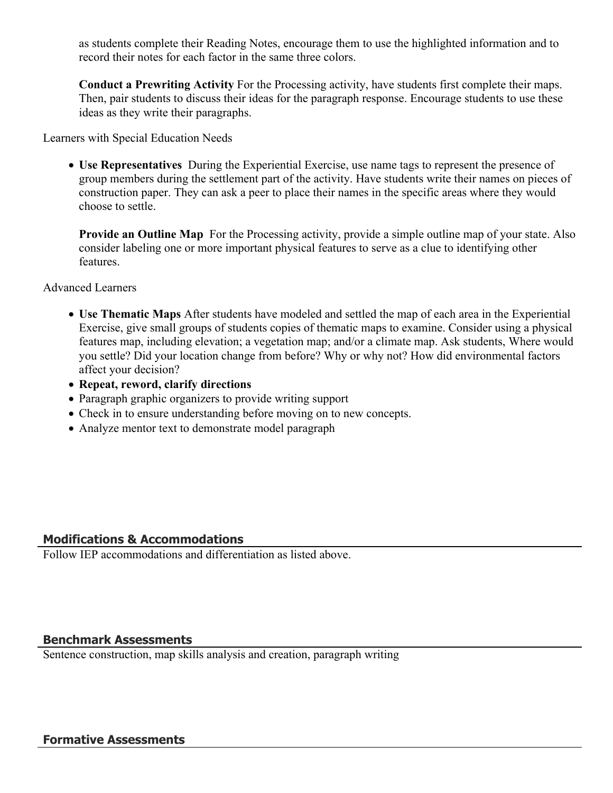as students complete their Reading Notes, encourage them to use the highlighted information and to record their notes for each factor in the same three colors.

**Conduct a Prewriting Activity** For the Processing activity, have students first complete their maps. Then, pair students to discuss their ideas for the paragraph response. Encourage students to use these ideas as they write their paragraphs.

Learners with Special Education Needs

 **Use Representatives** During the Experiential Exercise, use name tags to represent the presence of group members during the settlement part of the activity. Have students write their names on pieces of construction paper. They can ask a peer to place their names in the specific areas where they would choose to settle.

**Provide an Outline Map** For the Processing activity, provide a simple outline map of your state. Also consider labeling one or more important physical features to serve as a clue to identifying other features.

Advanced Learners

- **Use Thematic Maps** After students have modeled and settled the map of each area in the Experiential Exercise, give small groups of students copies of thematic maps to examine. Consider using a physical features map, including elevation; a vegetation map; and/or a climate map. Ask students, Where would you settle? Did your location change from before? Why or why not? How did environmental factors affect your decision?
- **Repeat, reword, clarify directions**
- Paragraph graphic organizers to provide writing support
- Check in to ensure understanding before moving on to new concepts.
- Analyze mentor text to demonstrate model paragraph

#### **Modifications & Accommodations**

Follow IEP accommodations and differentiation as listed above.

#### **Benchmark Assessments**

Sentence construction, map skills analysis and creation, paragraph writing